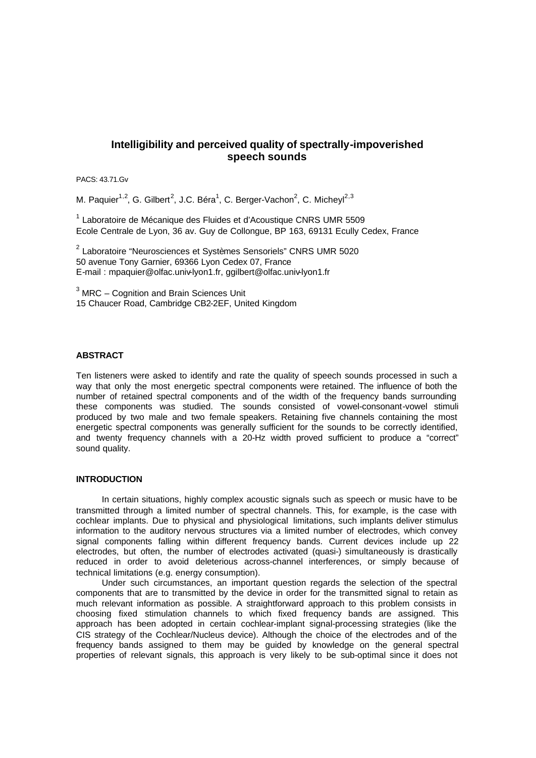# **Intelligibility and perceived quality of spectrally-impoverished speech sounds**

PACS: 43.71.Gv

M. Paquier<sup>1,2</sup>, G. Gilbert<sup>2</sup>, J.C. Béra<sup>1</sup>, C. Berger-Vachon<sup>2</sup>, C. Micheyl<sup>2,3</sup>

<sup>1</sup> Laboratoire de Mécanique des Fluides et d'Acoustique CNRS UMR 5509 Ecole Centrale de Lyon, 36 av. Guy de Collongue, BP 163, 69131 Ecully Cedex, France

<sup>2</sup> Laboratoire "Neurosciences et Systèmes Sensoriels" CNRS UMR 5020 50 avenue Tony Garnier, 69366 Lyon Cedex 07, France E-mail : mpaquier@olfac.univ-lyon1.fr, ggilbert@olfac.univ-lyon1.fr

 $3$  MRC – Cognition and Brain Sciences Unit 15 Chaucer Road, Cambridge CB2-2EF, United Kingdom

## **ABSTRACT**

Ten listeners were asked to identify and rate the quality of speech sounds processed in such a way that only the most energetic spectral components were retained. The influence of both the number of retained spectral components and of the width of the frequency bands surrounding these components was studied. The sounds consisted of vowel-consonant-vowel stimuli produced by two male and two female speakers. Retaining five channels containing the most energetic spectral components was generally sufficient for the sounds to be correctly identified, and twenty frequency channels with a 20-Hz width proved sufficient to produce a "correct" sound quality.

# **INTRODUCTION**

In certain situations, highly complex acoustic signals such as speech or music have to be transmitted through a limited number of spectral channels. This, for example, is the case with cochlear implants. Due to physical and physiological limitations, such implants deliver stimulus information to the auditory nervous structures via a limited number of electrodes, which convey signal components falling within different frequency bands. Current devices include up 22 electrodes, but often, the number of electrodes activated (quasi-) simultaneously is drastically reduced in order to avoid deleterious across-channel interferences, or simply because of technical limitations (e.g. energy consumption).

Under such circumstances, an important question regards the selection of the spectral components that are to transmitted by the device in order for the transmitted signal to retain as much relevant information as possible. A straightforward approach to this problem consists in choosing fixed stimulation channels to which fixed frequency bands are assigned. This approach has been adopted in certain cochlear-implant signal-processing strategies (like the CIS strategy of the Cochlear/Nucleus device). Although the choice of the electrodes and of the frequency bands assigned to them may be guided by knowledge on the general spectral properties of relevant signals, this approach is very likely to be sub-optimal since it does not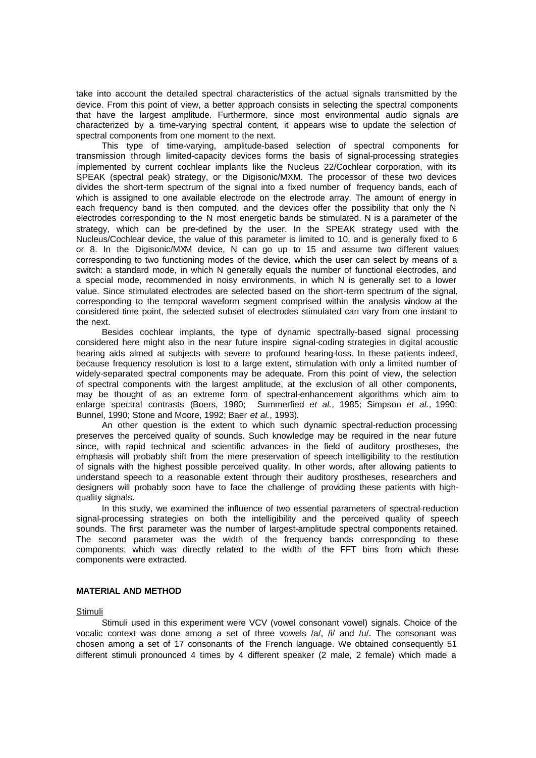take into account the detailed spectral characteristics of the actual signals transmitted by the device. From this point of view, a better approach consists in selecting the spectral components that have the largest amplitude. Furthermore, since most environmental audio signals are characterized by a time-varying spectral content, it appears wise to update the selection of spectral components from one moment to the next.

This type of time-varying, amplitude-based selection of spectral components for transmission through limited-capacity devices forms the basis of signal-processing strategies implemented by current cochlear implants like the Nucleus 22/Cochlear corporation, with its SPEAK (spectral peak) strategy, or the Digisonic/MXM. The processor of these two devices divides the short-term spectrum of the signal into a fixed number of frequency bands, each of which is assigned to one available electrode on the electrode array. The amount of energy in each frequency band is then computed, and the devices offer the possibility that only the N electrodes corresponding to the N most energetic bands be stimulated. N is a parameter of the strategy, which can be pre-defined by the user. In the SPEAK strategy used with the Nucleus/Cochlear device, the value of this parameter is limited to 10, and is generally fixed to 6 or 8. In the Digisonic/MXM device, N can go up to 15 and assume two different values corresponding to two functioning modes of the device, which the user can select by means of a switch: a standard mode, in which N generally equals the number of functional electrodes, and a special mode, recommended in noisy environments, in which N is generally set to a lower value. Since stimulated electrodes are selected based on the short-term spectrum of the signal, corresponding to the temporal waveform segment comprised within the analysis window at the considered time point, the selected subset of electrodes stimulated can vary from one instant to the next.

Besides cochlear implants, the type of dynamic spectrally-based signal processing considered here might also in the near future inspire signal-coding strategies in digital acoustic hearing aids aimed at subjects with severe to profound hearing-loss. In these patients indeed, because frequency resolution is lost to a large extent, stimulation with only a limited number of widely-separated spectral components may be adequate. From this point of view, the selection of spectral components with the largest amplitude, at the exclusion of all other components, may be thought of as an extreme form of spectral-enhancement algorithms which aim to enlarge spectral contrasts (Boers, 1980; Summerfied *et al.*, 1985; Simpson *et al.*, 1990; Bunnel, 1990; Stone and Moore, 1992; Baer *et al.*, 1993).

An other question is the extent to which such dynamic spectral-reduction processing preserves the perceived quality of sounds. Such knowledge may be required in the near future since, with rapid technical and scientific advances in the field of auditory prostheses, the emphasis will probably shift from the mere preservation of speech intelligibility to the restitution of signals with the highest possible perceived quality. In other words, after allowing patients to understand speech to a reasonable extent through their auditory prostheses, researchers and designers will probably soon have to face the challenge of providing these patients with highquality signals.

In this study, we examined the influence of two essential parameters of spectral-reduction signal-processing strategies on both the intelligibility and the perceived quality of speech sounds. The first parameter was the number of largest-amplitude spectral components retained. The second parameter was the width of the frequency bands corresponding to these components, which was directly related to the width of the FFT bins from which these components were extracted.

## **MATERIAL AND METHOD**

#### Stimuli

Stimuli used in this experiment were VCV (vowel consonant vowel) signals. Choice of the vocalic context was done among a set of three vowels  $/a/$ ,  $/i/$  and  $/u/$ . The consonant was chosen among a set of 17 consonants of the French language. We obtained consequently 51 different stimuli pronounced 4 times by 4 different speaker (2 male, 2 female) which made a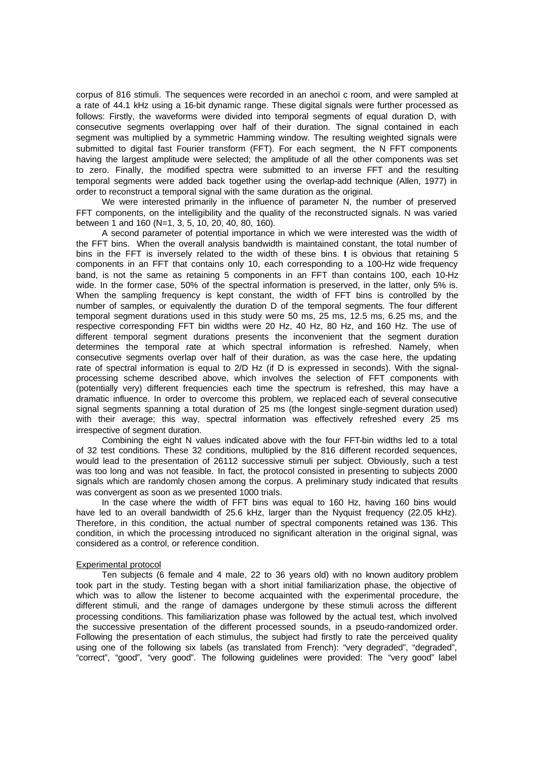corpus of 816 stimuli. The sequences were recorded in an anechoïc room, and were sampled at a rate of 44.1 kHz using a 16-bit dynamic range. These digital signals were further processed as follows: Firstly, the waveforms were divided into temporal segments of equal duration D, with consecutive segments overlapping over half of their duration. The signal contained in each segment was multiplied by a symmetric Hamming window. The resulting weighted signals were submitted to digital fast Fourier transform (FFT). For each segment, the N FFT components having the largest amplitude were selected; the amplitude of all the other components was set to zero. Finally, the modified spectra were submitted to an inverse FFT and the resulting temporal segments were added back together using the overlap-add technique (Allen, 1977) in order to reconstruct a temporal signal with the same duration as the original.

We were interested primarily in the influence of parameter N, the number of preserved FFT components, on the intelligibility and the quality of the reconstructed signals. N was varied between 1 and 160 (N=1, 3, 5, 10, 20, 40, 80, 160).

A second parameter of potential importance in which we were interested was the width of the FFT bins. When the overall analysis bandwidth is maintained constant, the total number of bins in the FFT is inversely related to the width of these bins.  $t$  is obvious that retaining 5 components in an FFT that contains only 10, each corresponding to a 100-Hz wide frequency band, is not the same as retaining 5 components in an FFT than contains 100, each 10-Hz wide. In the former case, 50% of the spectral information is preserved, in the latter, only 5% is. When the sampling frequency is kept constant, the width of FFT bins is controlled by the number of samples, or equivalently the duration D of the temporal segments. The four different temporal segment durations used in this study were 50 ms, 25 ms, 12.5 ms, 6.25 ms, and the respective corresponding FFT bin widths were 20 Hz, 40 Hz, 80 Hz, and 160 Hz. The use of different temporal segment durations presents the inconvenient that the segment duration determines the temporal rate at which spectral information is refreshed. Namely, when consecutive segments overlap over half of their duration, as was the case here, the updating rate of spectral information is equal to 2/D Hz (if D is expressed in seconds). With the signalprocessing scheme described above, which involves the selection of FFT components with (potentially very) different frequencies each time the spectrum is refreshed, this may have a dramatic influence. In order to overcome this problem, we replaced each of several consecutive signal segments spanning a total duration of 25 ms (the longest single-segment duration used) with their average; this way, spectral information was effectively refreshed every 25 ms irrespective of segment duration.

Combining the eight N values indicated above with the four FFT-bin widths led to a total of 32 test conditions. These 32 conditions, multiplied by the 816 different recorded sequences, would lead to the presentation of 26112 successive stimuli per subject. Obviously, such a test was too long and was not feasible. In fact, the protocol consisted in presenting to subjects 2000 signals which are randomly chosen among the corpus. A preliminary study indicated that results was convergent as soon as we presented 1000 trials.

In the case where the width of FFT bins was equal to 160 Hz, having 160 bins would have led to an overall bandwidth of 25.6 kHz, larger than the Nyquist frequency (22.05 kHz). Therefore, in this condition, the actual number of spectral components retained was 136. This condition, in which the processing introduced no significant alteration in the original signal, was considered as a control, or reference condition.

#### Experimental protocol

Ten subjects (6 female and 4 male, 22 to 36 years old) with no known auditory problem took part in the study. Testing began with a short initial familiarization phase, the objective of which was to allow the listener to become acquainted with the experimental procedure, the different stimuli, and the range of damages undergone by these stimuli across the different processing conditions. This familiarization phase was followed by the actual test, which involved the successive presentation of the different processed sounds, in a pseudo-randomized order. Following the presentation of each stimulus, the subject had firstly to rate the perceived quality using one of the following six labels (as translated from French): "very degraded", "degraded", "correct", "good", "very good". The following guidelines were provided: The "very good" label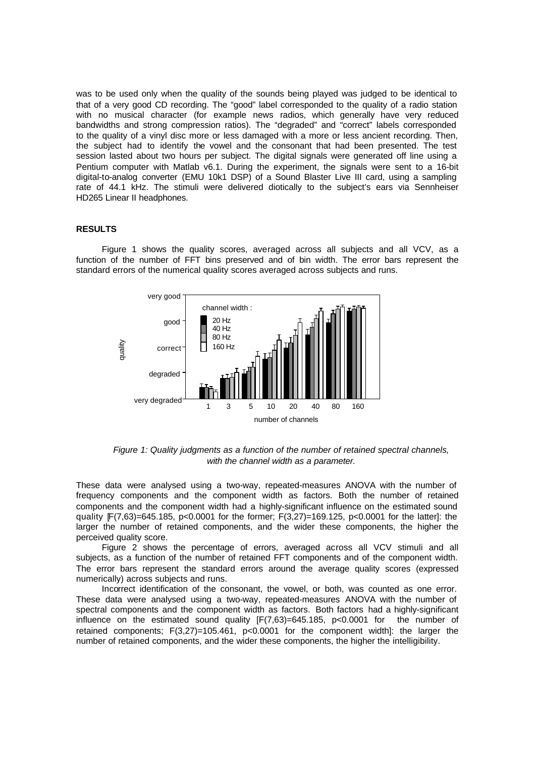was to be used only when the quality of the sounds being played was judged to be identical to that of a very good CD recording. The "good" label corresponded to the quality of a radio station with no musical character (for example news radios, which generally have very reduced bandwidths and strong compression ratios). The "degraded" and "correct" labels corresponded to the quality of a vinyl disc more or less damaged with a more or less ancient recording. Then, the subject had to identify the vowel and the consonant that had been presented. The test session lasted about two hours per subject. The digital signals were generated off line using a Pentium computer with Matlab v6.1. During the experiment, the signals were sent to a 16-bit digital-to-analog converter (EMU 10k1 DSP) of a Sound Blaster Live III card, using a sampling rate of 44.1 kHz. The stimuli were delivered diotically to the subject's ears via Sennheiser HD265 Linear II headphones.

### **RESULTS**

Figure 1 shows the quality scores, averaged across all subjects and all VCV, as a function of the number of FFT bins preserved and of bin width. The error bars represent the standard errors of the numerical quality scores averaged across subjects and runs.



*Figure 1: Quality judgments as a function of the number of retained spectral channels, with the channel width as a parameter.*

These data were analysed using a two-way, repeated-measures ANOVA with the number of frequency components and the component width as factors. Both the number of retained components and the component width had a highly-significant influence on the estimated sound quality [F(7,63)=645.185, p<0.0001 for the former; F(3,27)=169.125, p<0.0001 for the latter]: the larger the number of retained components, and the wider these components, the higher the perceived quality score.

Figure 2 shows the percentage of errors, averaged across all VCV stimuli and all subjects, as a function of the number of retained FFT components and of the component width. The error bars represent the standard errors around the average quality scores (expressed numerically) across subjects and runs.

Incorrect identification of the consonant, the vowel, or both, was counted as one error. These data were analysed using a two-way, repeated-measures ANOVA with the number of spectral components and the component width as factors. Both factors had a highly-significant influence on the estimated sound quality  $[F(7,63)=645.185, p<0.0001$  for the number of retained components; F(3,27)=105.461, p<0.0001 for the component width]: the larger the number of retained components, and the wider these components, the higher the intelligibility.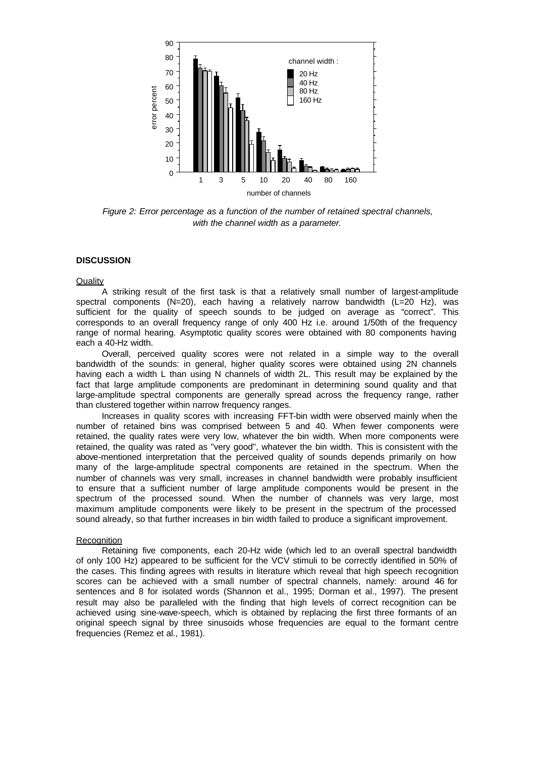

*Figure 2: Error percentage as a function of the number of retained spectral channels, with the channel width as a parameter.*

# **DISCUSSION**

**Quality** 

A striking result of the first task is that a relatively small number of largest-amplitude spectral components (N=20), each having a relatively narrow bandwidth (L=20 Hz), was sufficient for the quality of speech sounds to be judged on average as "correct". This corresponds to an overall frequency range of only 400 Hz i.e. around 1/50th of the frequency range of normal hearing. Asymptotic quality scores were obtained with 80 components having each a 40-Hz width.

Overall, perceived quality scores were not related in a simple way to the overall bandwidth of the sounds: in general, higher quality scores were obtained using 2N channels having each a width L than using N channels of width 2L. This result may be explained by the fact that large amplitude components are predominant in determining sound quality and that large-amplitude spectral components are generally spread across the frequency range, rather than clustered together within narrow frequency ranges.

Increases in quality scores with increasing FFT-bin width were observed mainly when the number of retained bins was comprised between 5 and 40. When fewer components were retained, the quality rates were very low, whatever the bin width. When more components were retained, the quality was rated as "very good", whatever the bin width. This is consistent with the above-mentioned interpretation that the perceived quality of sounds depends primarily on how many of the large-amplitude spectral components are retained in the spectrum. When the number of channels was very small, increases in channel bandwidth were probably insufficient to ensure that a sufficient number of large amplitude components would be present in the spectrum of the processed sound. When the number of channels was very large, most maximum amplitude components were likely to be present in the spectrum of the processed sound already, so that further increases in bin width failed to produce a significant improvement.

# **Recognition**

Retaining five components, each 20-Hz wide (which led to an overall spectral bandwidth of only 100 Hz) appeared to be sufficient for the VCV stimuli to be correctly identified in 50% of the cases. This finding agrees with results in literature which reveal that high speech recognition scores can be achieved with a small number of spectral channels, namely: around 46 for sentences and 8 for isolated words (Shannon et al., 1995; Dorman et al., 1997). The present result may also be paralleled with the finding that high levels of correct recognition can be achieved using sine-wave-speech, which is obtained by replacing the first three formants of an original speech signal by three sinusoids whose frequencies are equal to the formant centre frequencies (Remez et al., 1981).